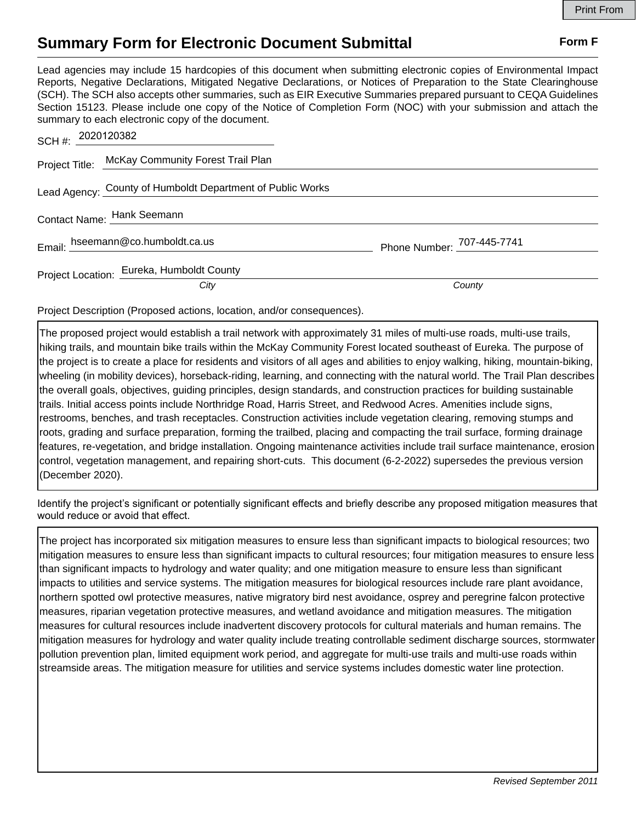## **Summary Form for Electronic Document Submittal Form F Form F**

Lead agencies may include 15 hardcopies of this document when submitting electronic copies of Environmental Impact Reports, Negative Declarations, Mitigated Negative Declarations, or Notices of Preparation to the State Clearinghouse (SCH). The SCH also accepts other summaries, such as EIR Executive Summaries prepared pursuant to CEQA Guidelines Section 15123. Please include one copy of the Notice of Completion Form (NOC) with your submission and attach the summary to each electronic copy of the document.

| SCH #: 2020120382 |                                                            |                            |
|-------------------|------------------------------------------------------------|----------------------------|
|                   | Project Title: McKay Community Forest Trail Plan           |                            |
|                   | Lead Agency: County of Humboldt Department of Public Works |                            |
|                   | Contact Name: Hank Seemann                                 |                            |
|                   | Email: hseemann@co.humboldt.ca.us                          | Phone Number: 707-445-7741 |
|                   | Project Location: Eureka, Humboldt County                  |                            |
|                   | City                                                       | County                     |

Project Description (Proposed actions, location, and/or consequences).

The proposed project would establish a trail network with approximately 31 miles of multi-use roads, multi-use trails, hiking trails, and mountain bike trails within the McKay Community Forest located southeast of Eureka. The purpose of the project is to create a place for residents and visitors of all ages and abilities to enjoy walking, hiking, mountain-biking, wheeling (in mobility devices), horseback-riding, learning, and connecting with the natural world. The Trail Plan describes the overall goals, objectives, guiding principles, design standards, and construction practices for building sustainable trails. Initial access points include Northridge Road, Harris Street, and Redwood Acres. Amenities include signs, restrooms, benches, and trash receptacles. Construction activities include vegetation clearing, removing stumps and roots, grading and surface preparation, forming the trailbed, placing and compacting the trail surface, forming drainage features, re-vegetation, and bridge installation. Ongoing maintenance activities include trail surface maintenance, erosion control, vegetation management, and repairing short-cuts. This document (6-2-2022) supersedes the previous version (December 2020).

Identify the project's significant or potentially significant effects and briefly describe any proposed mitigation measures that would reduce or avoid that effect.

The project has incorporated six mitigation measures to ensure less than significant impacts to biological resources; two mitigation measures to ensure less than significant impacts to cultural resources; four mitigation measures to ensure less than significant impacts to hydrology and water quality; and one mitigation measure to ensure less than significant impacts to utilities and service systems. The mitigation measures for biological resources include rare plant avoidance, northern spotted owl protective measures, native migratory bird nest avoidance, osprey and peregrine falcon protective measures, riparian vegetation protective measures, and wetland avoidance and mitigation measures. The mitigation measures for cultural resources include inadvertent discovery protocols for cultural materials and human remains. The mitigation measures for hydrology and water quality include treating controllable sediment discharge sources, stormwater pollution prevention plan, limited equipment work period, and aggregate for multi-use trails and multi-use roads within streamside areas. The mitigation measure for utilities and service systems includes domestic water line protection.